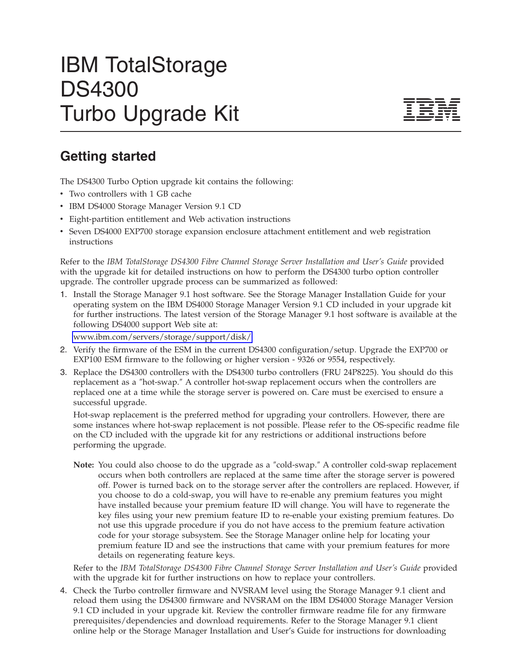## IBM TotalStorage DS4300 Turbo Upgrade Kit



## **Getting started**

The DS4300 Turbo Option upgrade kit contains the following:

- Two controllers with 1 GB cache
- IBM DS4000 Storage Manager Version 9.1 CD
- v Eight-partition entitlement and Web activation instructions
- Seven DS4000 EXP700 storage expansion enclosure attachment entitlement and web registration instructions

Refer to the *IBM TotalStorage DS4300 Fibre Channel Storage Server Installation and User's Guide* provided with the upgrade kit for detailed instructions on how to perform the DS4300 turbo option controller upgrade. The controller upgrade process can be summarized as followed:

1. Install the Storage Manager 9.1 host software. See the Storage Manager Installation Guide for your operating system on the IBM DS4000 Storage Manager Version 9.1 CD included in your upgrade kit for further instructions. The latest version of the Storage Manager 9.1 host software is available at the following DS4000 support Web site at:

[www.ibm.com/servers/storage/support/disk/](http://www.ibm.com/servers/storage/support/disk/)

- 2. Verify the firmware of the ESM in the current DS4300 configuration/setup. Upgrade the EXP700 or EXP100 ESM firmware to the following or higher version - 9326 or 9554, respectively.
- 3. Replace the DS4300 controllers with the DS4300 turbo controllers (FRU 24P8225). You should do this replacement as a ″hot-swap.″ A controller hot-swap replacement occurs when the controllers are replaced one at a time while the storage server is powered on. Care must be exercised to ensure a successful upgrade.

Hot-swap replacement is the preferred method for upgrading your controllers. However, there are some instances where hot-swap replacement is not possible. Please refer to the OS-specific readme file on the CD included with the upgrade kit for any restrictions or additional instructions before performing the upgrade.

**Note:** You could also choose to do the upgrade as a ″cold-swap.″ A controller cold-swap replacement occurs when both controllers are replaced at the same time after the storage server is powered off. Power is turned back on to the storage server after the controllers are replaced. However, if you choose to do a cold-swap, you will have to re-enable any premium features you might have installed because your premium feature ID will change. You will have to regenerate the key files using your new premium feature ID to re-enable your existing premium features. Do not use this upgrade procedure if you do not have access to the premium feature activation code for your storage subsystem. See the Storage Manager online help for locating your premium feature ID and see the instructions that came with your premium features for more details on regenerating feature keys.

Refer to the *IBM TotalStorage DS4300 Fibre Channel Storage Server Installation and User's Guide* provided with the upgrade kit for further instructions on how to replace your controllers.

4. Check the Turbo controller firmware and NVSRAM level using the Storage Manager 9.1 client and reload them using the DS4300 firmware and NVSRAM on the IBM DS4000 Storage Manager Version 9.1 CD included in your upgrade kit. Review the controller firmware readme file for any firmware prerequisites/dependencies and download requirements. Refer to the Storage Manager 9.1 client online help or the Storage Manager Installation and User's Guide for instructions for downloading